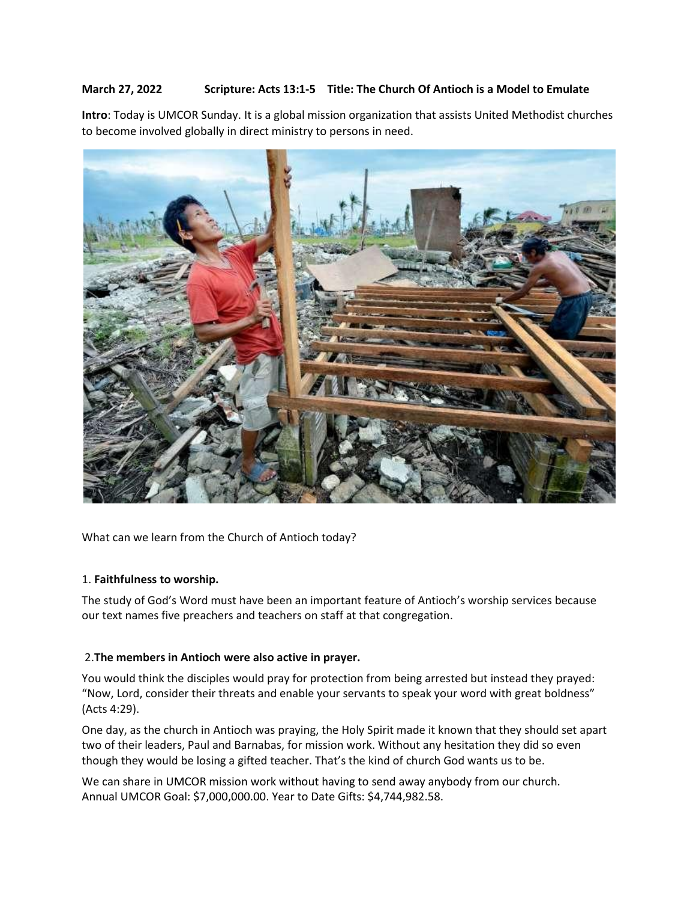# **March 27, 2022 Scripture: [Acts 13:1-5](https://www.sermoncentral.com/sermons/scripture/sermons-on-acts-13-1-5?keyword=Acts+13%3A1-5) Title: The Church Of Antioch is a Model to Emulate**

**Intro**: Today is UMCOR Sunday. It is a global mission organization that assists United Methodist churches to become involved globally in direct ministry to persons in need.



What can we learn from the Church of Antioch today?

## 1. **Faithfulness to worship.**

The study of God's Word must have been an important feature of Antioch's worship services because our text names five preachers and teachers on staff at that congregation.

## 2.**The members in Antioch were also active in prayer.**

You would think the disciples would pray for protection from being arrested but instead they prayed: "Now, Lord, consider their threats and enable your servants to speak your word with great boldness" (Acts 4:29).

One day, as the church in Antioch was praying, the Holy Spirit made it known that they should set apart two of their leaders, Paul and Barnabas, for mission work. Without any hesitation they did so even though they would be losing a gifted teacher. That's the kind of church God wants us to be.

We can share in UMCOR mission work without having to send away anybody from our church. Annual UMCOR Goal: \$7,000,000.00. Year to Date Gifts: \$4,744,982.58.